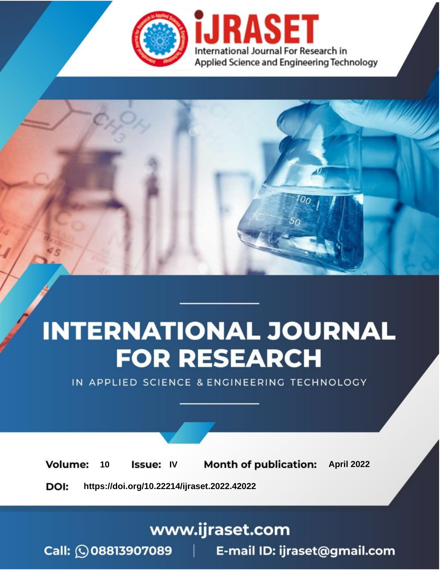

# **INTERNATIONAL JOURNAL FOR RESEARCH**

IN APPLIED SCIENCE & ENGINEERING TECHNOLOGY

10 **Issue: IV Month of publication:** April 2022 **Volume:** 

**https://doi.org/10.22214/ijraset.2022.42022**DOI:

www.ijraset.com

Call: 008813907089 | E-mail ID: ijraset@gmail.com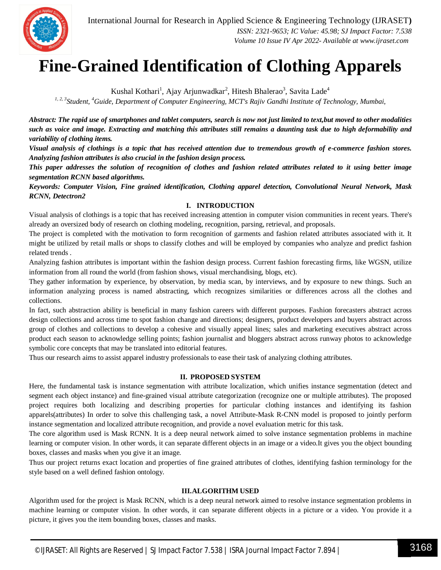

### **Fine-Grained Identification of Clothing Apparels**

Kushal Kothari<sup>1</sup>, Ajay Arjunwadkar<sup>2</sup>, Hitesh Bhalerao<sup>3</sup>, Savita Lade<sup>4</sup>

*1, 2, 3Student, <sup>4</sup>Guide, Department of Computer Engineering, MCT's Rajiv Gandhi Institute of Technology, Mumbai,*

*Abstract: The rapid use of smartphones and tablet computers, search is now not just limited to text,but moved to other modalities such as voice and image. Extracting and matching this attributes still remains a daunting task due to high deformability and variability of clothing items.* 

*Visual analysis of clothings is a topic that has received attention due to tremendous growth of e-commerce fashion stores. Analyzing fashion attributes is also crucial in the fashion design process.* 

*This paper addresses the solution of recognition of clothes and fashion related attributes related to it using better image segmentation RCNN based algorithms.*

*Keywords: Computer Vision, Fine grained identification, Clothing apparel detection, Convolutional Neural Network, Mask RCNN, Detectron2*

#### **I. INTRODUCTION**

Visual analysis of clothings is a topic that has received increasing attention in computer vision communities in recent years. There's already an oversized body of research on clothing modeling, recognition, parsing, retrieval, and proposals.

The project is completed with the motivation to form recognition of garments and fashion related attributes associated with it. It might be utilized by retail malls or shops to classify clothes and will be employed by companies who analyze and predict fashion related trends .

Analyzing fashion attributes is important within the fashion design process. Current fashion forecasting firms, like WGSN, utilize information from all round the world (from fashion shows, visual merchandising, blogs, etc).

They gather information by experience, by observation, by media scan, by interviews, and by exposure to new things. Such an information analyzing process is named abstracting, which recognizes similarities or differences across all the clothes and collections.

In fact, such abstraction ability is beneficial in many fashion careers with different purposes. Fashion forecasters abstract across design collections and across time to spot fashion change and directions; designers, product developers and buyers abstract across group of clothes and collections to develop a cohesive and visually appeal lines; sales and marketing executives abstract across product each season to acknowledge selling points; fashion journalist and bloggers abstract across runway photos to acknowledge symbolic core concepts that may be translated into editorial features.

Thus our research aims to assist apparel industry professionals to ease their task of analyzing clothing attributes.

#### **II. PROPOSED SYSTEM**

Here, the fundamental task is instance segmentation with attribute localization, which unifies instance segmentation (detect and segment each object instance) and fine-grained visual attribute categorization (recognize one or multiple attributes). The proposed project requires both localizing and describing properties for particular clothing instances and identifying its fashion apparels(attributes) In order to solve this challenging task, a novel Attribute-Mask R-CNN model is proposed to jointly perform instance segmentation and localized attribute recognition, and provide a novel evaluation metric for this task.

The core algorithm used is Mask RCNN. It is a deep neural network aimed to solve instance segmentation problems in machine learning or computer vision. In other words, it can separate different objects in an image or a video.It gives you the object bounding boxes, classes and masks when you give it an image.

Thus our project returns exact location and properties of fine grained attributes of clothes, identifying fashion terminology for the style based on a well defined fashion ontology.

#### **III.ALGORITHM USED**

Algorithm used for the project is Mask RCNN, which is a deep neural network aimed to resolve instance segmentation problems in machine learning or computer vision. In other words, it can separate different objects in a picture or a video. You provide it a picture, it gives you the item bounding boxes, classes and masks.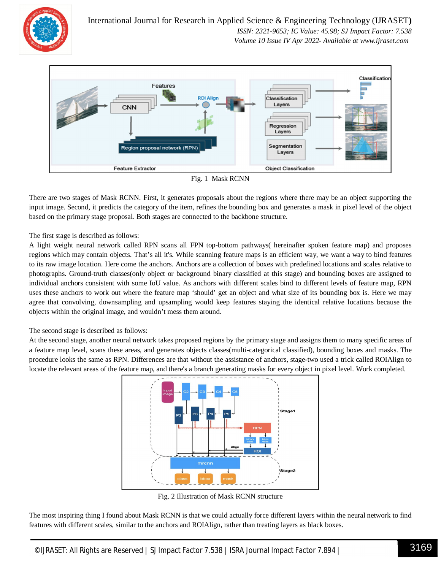

International Journal for Research in Applied Science & Engineering Technology (IJRASET**)**  *ISSN: 2321-9653; IC Value: 45.98; SJ Impact Factor: 7.538 Volume 10 Issue IV Apr 2022- Available at www.ijraset.com*





There are two stages of Mask RCNN. First, it generates proposals about the regions where there may be an object supporting the input image. Second, it predicts the category of the item, refines the bounding box and generates a mask in pixel level of the object based on the primary stage proposal. Both stages are connected to the backbone structure.

The first stage is described as follows:

A light weight neural network called RPN scans all FPN top-bottom pathways( hereinafter spoken feature map) and proposes regions which may contain objects. That's all it's. While scanning feature maps is an efficient way, we want a way to bind features to its raw image location. Here come the anchors. Anchors are a collection of boxes with predefined locations and scales relative to photographs. Ground-truth classes(only object or background binary classified at this stage) and bounding boxes are assigned to individual anchors consistent with some IoU value. As anchors with different scales bind to different levels of feature map, RPN uses these anchors to work out where the feature map 'should' get an object and what size of its bounding box is. Here we may agree that convolving, downsampling and upsampling would keep features staying the identical relative locations because the objects within the original image, and wouldn't mess them around.

The second stage is described as follows:

At the second stage, another neural network takes proposed regions by the primary stage and assigns them to many specific areas of a feature map level, scans these areas, and generates objects classes(multi-categorical classified), bounding boxes and masks. The procedure looks the same as RPN. Differences are that without the assistance of anchors, stage-two used a trick called ROIAlign to locate the relevant areas of the feature map, and there's a branch generating masks for every object in pixel level. Work completed.



Fig. 2 Illustration of Mask RCNN structure

The most inspiring thing I found about Mask RCNN is that we could actually force different layers within the neural network to find features with different scales, similar to the anchors and ROIAlign, rather than treating layers as black boxes.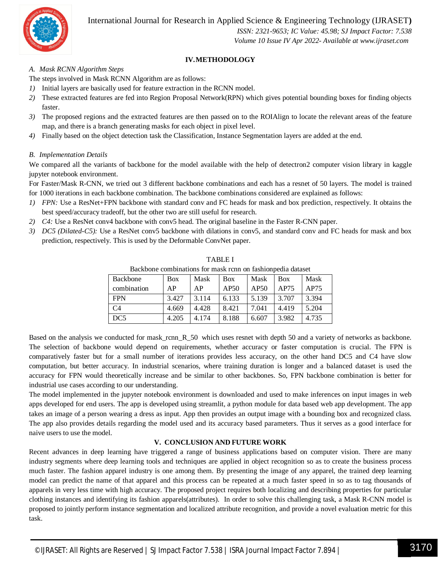International Journal for Research in Applied Science & Engineering Technology (IJRASET**)**



 *ISSN: 2321-9653; IC Value: 45.98; SJ Impact Factor: 7.538 Volume 10 Issue IV Apr 2022- Available at www.ijraset.com*

#### **IV.METHODOLOGY**

#### *A. Mask RCNN Algorithm Steps*

The steps involved in Mask RCNN Algorithm are as follows:

- *1)* Initial layers are basically used for feature extraction in the RCNN model.
- *2)* These extracted features are fed into Region Proposal Network(RPN) which gives potential bounding boxes for finding objects faster.
- *3)* The proposed regions and the extracted features are then passed on to the ROIAlign to locate the relevant areas of the feature map, and there is a branch generating masks for each object in pixel level.
- *4)* Finally based on the object detection task the Classification, Instance Segmentation layers are added at the end.

#### *B. Implementation Details*

We compared all the variants of backbone for the model available with the help of detectron2 computer vision library in kaggle jupyter notebook environment.

For Faster/Mask R-CNN, we tried out 3 different backbone combinations and each has a resnet of 50 layers. The model is trained for 1000 iterations in each backbone combination. The backbone combinations considered are explained as follows:

- *1) FPN:* Use a ResNet+FPN backbone with standard conv and FC heads for mask and box prediction, respectively. It obtains the best speed/accuracy tradeoff, but the other two are still useful for research.
- *2) C4:* Use a ResNet conv4 backbone with conv5 head. The original baseline in the Faster R-CNN paper.
- *3*) *DC5* (Dilated-C5): Use a ResNet conv5 backbone with dilations in conv5, and standard conv and FC heads for mask and box prediction, respectively. This is used by the Deformable ConvNet paper.

| Backbone combinations for mask rcnn on fashionpedia dataset |            |       |            |       |            |       |
|-------------------------------------------------------------|------------|-------|------------|-------|------------|-------|
| Backbone                                                    | <b>Box</b> | Mask  | <b>Box</b> | Mask  | <b>Box</b> | Mask  |
| combination                                                 | AP         | AP    | AP50       | AP50  | AP75       | AP75  |
| <b>FPN</b>                                                  | 3.427      | 3.114 | 6.133      | 5.139 | 3.707      | 3.394 |
| C <sub>4</sub>                                              | 4.669      | 4.428 | 8.421      | 7.041 | 4.419      | 5.204 |
| DC5                                                         | 4.205      | 4.174 | 8.188      | 6.607 | 3.982      | 4.735 |

TABLE I

Based on the analysis we conducted for mask rcnn R 50 which uses resnet with depth 50 and a variety of networks as backbone. The selection of backbone would depend on requirements, whether accuracy or faster computation is crucial. The FPN is comparatively faster but for a small number of iterations provides less accuracy, on the other hand DC5 and C4 have slow computation, but better accuracy. In industrial scenarios, where training duration is longer and a balanced dataset is used the accuracy for FPN would theoretically increase and be similar to other backbones. So, FPN backbone combination is better for industrial use cases according to our understanding.

The model implemented in the jupyter notebook environment is downloaded and used to make inferences on input images in web apps developed for end users. The app is developed using streamlit, a python module for data based web app development. The app takes an image of a person wearing a dress as input. App then provides an output image with a bounding box and recognized class. The app also provides details regarding the model used and its accuracy based parameters. Thus it serves as a good interface for naive users to use the model.

#### **V. CONCLUSION AND FUTURE WORK**

Recent advances in deep learning have triggered a range of business applications based on computer vision. There are many industry segments where deep learning tools and techniques are applied in object recognition so as to create the business process much faster. The fashion apparel industry is one among them. By presenting the image of any apparel, the trained deep learning model can predict the name of that apparel and this process can be repeated at a much faster speed in so as to tag thousands of apparels in very less time with high accuracy. The proposed project requires both localizing and describing properties for particular clothing instances and identifying its fashion apparels(attributes). In order to solve this challenging task, a Mask R-CNN model is proposed to jointly perform instance segmentation and localized attribute recognition, and provide a novel evaluation metric for this task.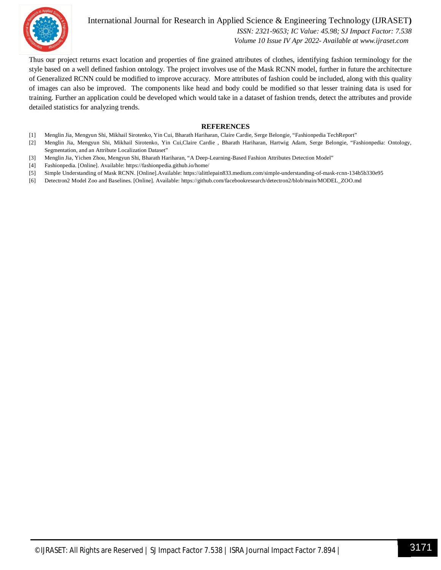

International Journal for Research in Applied Science & Engineering Technology (IJRASET**)**  *ISSN: 2321-9653; IC Value: 45.98; SJ Impact Factor: 7.538*

 *Volume 10 Issue IV Apr 2022- Available at www.ijraset.com*

Thus our project returns exact location and properties of fine grained attributes of clothes, identifying fashion terminology for the style based on a well defined fashion ontology. The project involves use of the Mask RCNN model, further in future the architecture of Generalized RCNN could be modified to improve accuracy. More attributes of fashion could be included, along with this quality of images can also be improved. The components like head and body could be modified so that lesser training data is used for training. Further an application could be developed which would take in a dataset of fashion trends, detect the attributes and provide detailed statistics for analyzing trends.

#### **REFERENCES**

- [1] Menglin Jia, Mengyun Shi, Mikhail Sirotenko, Yin Cui, Bharath Hariharan, Claire Cardie, Serge Belongie, "Fashionpedia TechReport"
- [2] Menglin Jia, Mengyun Shi, Mikhail Sirotenko, Yin Cui,Claire Cardie , Bharath Hariharan, Hartwig Adam, Serge Belongie, "Fashionpedia: Ontology, Segmentation, and an Attribute Localization Dataset"
- [3] Menglin Jia, Yichen Zhou, Mengyun Shi, Bharath Hariharan, "A Deep-Learning-Based Fashion Attributes Detection Model"
- [4] Fashionpedia. [Online]. Available: https://fashionpedia.github.io/home/
- [5] Simple Understanding of Mask RCNN. [Online].Available: https://alittlepain833.medium.com/simple-understanding-of-mask-rcnn-134b5b330e95
- [6] Detectron2 Model Zoo and Baselines. [Online]. Available: https://github.com/facebookresearch/detectron2/blob/main/MODEL\_ZOO.md